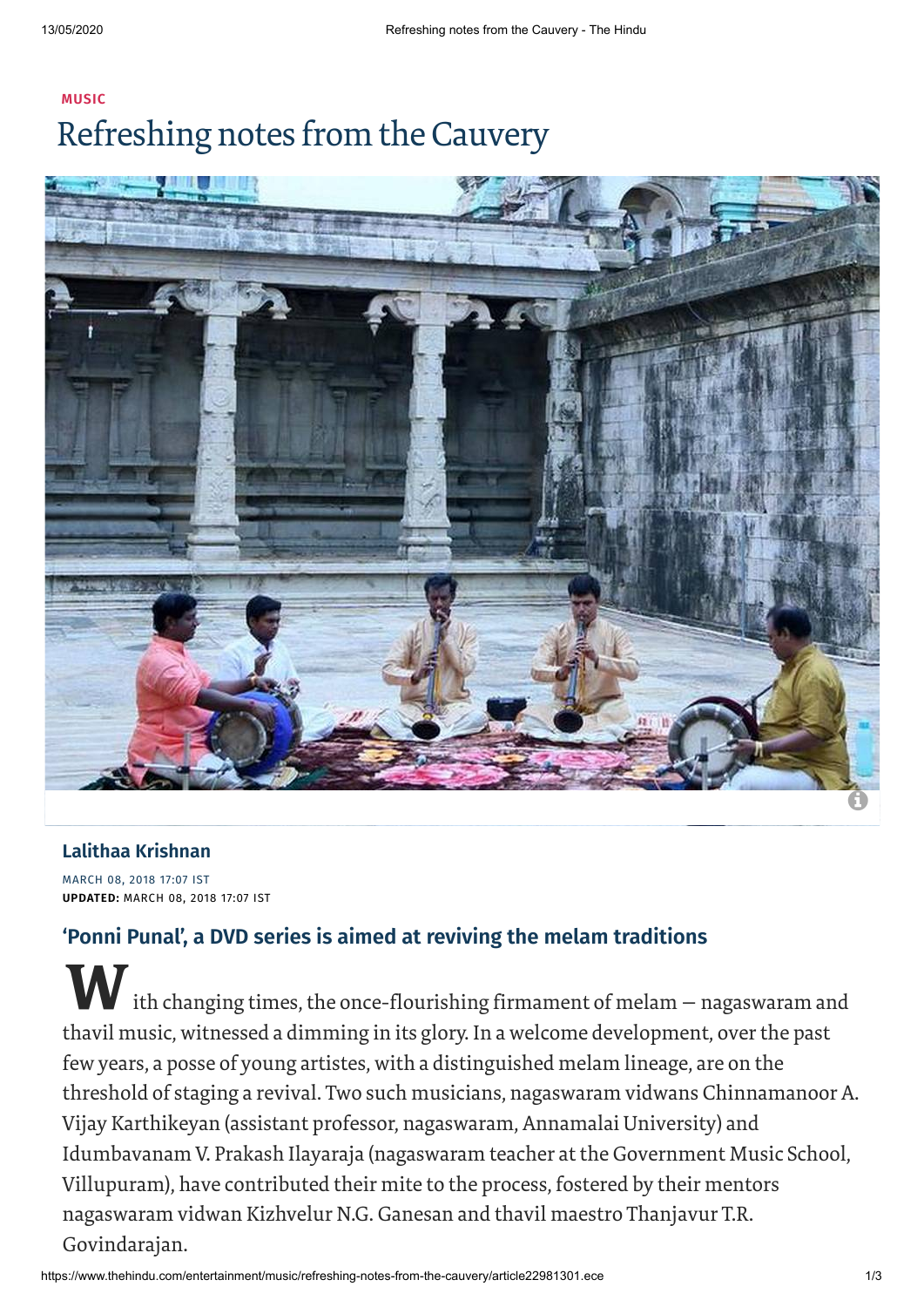# **[MUSIC](https://www.thehindu.com/entertainment/music/)** Refreshing notes from the Cauvery



### **Lalithaa [Krishnan](https://www.thehindu.com/profile/author/Lalithaa-Krishnan-522/)**

MARCH 08, 2018 17:07 IST **UPDATED:** MARCH 08, 2018 17:07 IST

## **'Ponni Punal', a DVD series is aimed at reviving the melam traditions**

W ith changing times, the once-flourishing firmament of melam – nagaswaram and thavil music, witnessed a dimming in its glory. In a welcome development, overthe past few years, a posse of young artistes, with a distinguished melam lineage, are on the threshold of staging a revival. Two such musicians, nagaswaram vidwans Chinnamanoor A. Vijay Karthikeyan (assistant professor, nagaswaram, Annamalai University) and Idumbavanam V. Prakash Ilayaraja (nagaswaram teacher at the Government Music School, Villupuram), have contributed their mite to the process, fostered by their mentors nagaswaram vidwan Kizhvelur N.G. Ganesan and thavil maestro Thanjavur T.R. Govindarajan.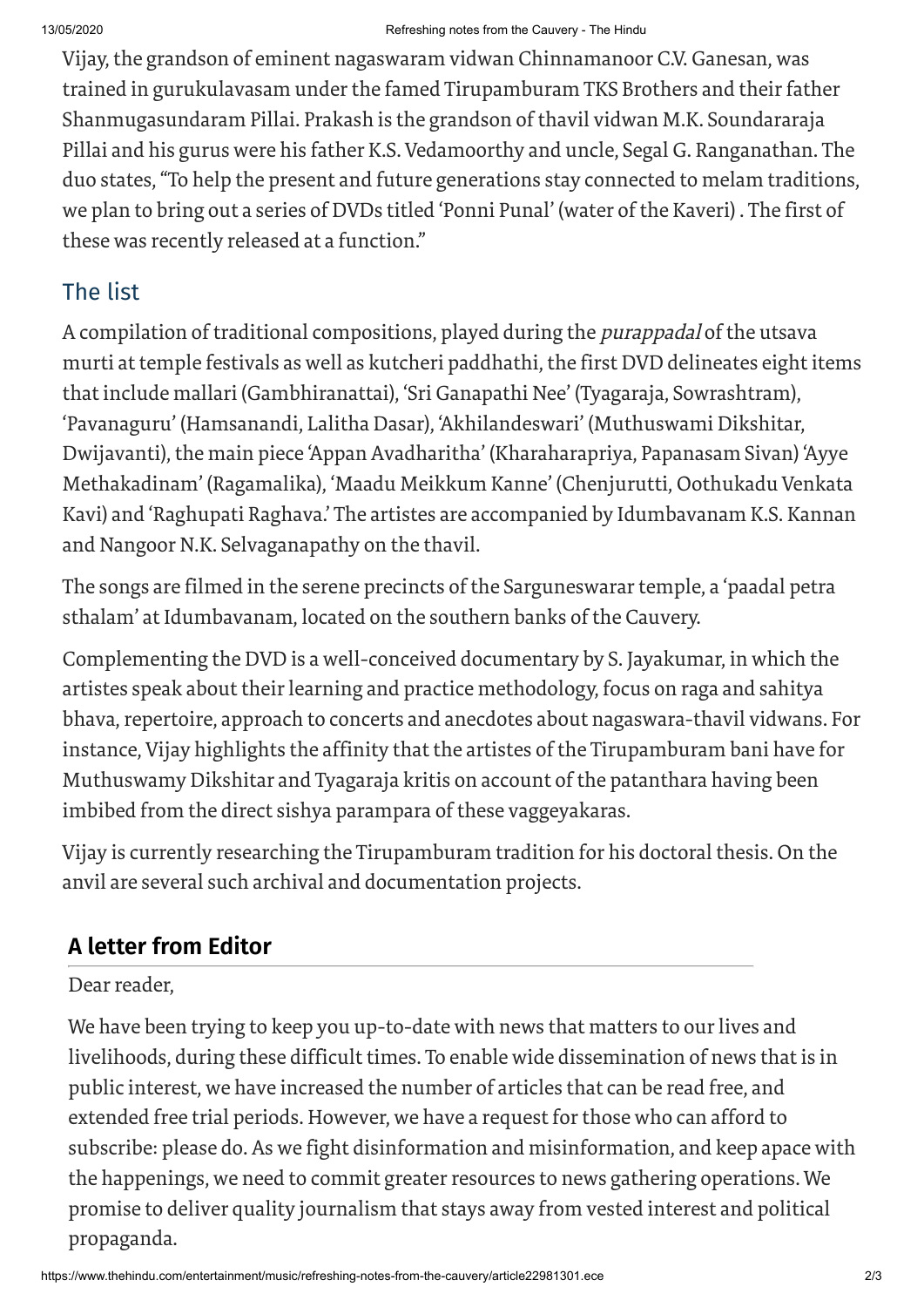Vijay, the grandson of eminent nagaswaram vidwan Chinnamanoor C.V. Ganesan, was trained in gurukulavasam under the famed Tirupamburam TKS Brothers and their father Shanmugasundaram Pillai. Prakash is the grandson of thavil vidwan M.K. Soundararaja Pillai and his gurus were his father K.S. Vedamoorthy and uncle, Segal G. Ranganathan. The duo states,"To help the present and future generations stay connected to melam traditions, we plan to bring out a series of DVDs titled 'Ponni Punal' (water of the Kaveri) . The first of these was recently released at a function."

## The list

A compilation of traditional compositions, played during the purappadal of the utsava murti at temple festivals as well as kutcheri paddhathi, the first DVD delineates eight items that include mallari (Gambhiranattai), 'Sri Ganapathi Nee' (Tyagaraja, Sowrashtram), 'Pavanaguru' (Hamsanandi, Lalitha Dasar), 'Akhilandeswari' (Muthuswami Dikshitar, Dwijavanti), the main piece 'Appan Avadharitha' (Kharaharapriya, Papanasam Sivan) 'Ayye Methakadinam' (Ragamalika), 'Maadu Meikkum Kanne' (Chenjurutti, Oothukadu Venkata Kavi) and 'Raghupati Raghava.' The artistes are accompanied by Idumbavanam K.S. Kannan and Nangoor N.K. Selvaganapathy on the thavil.

The songs are filmed in the serene precincts of the Sarguneswarar temple, a 'paadal petra sthalam' at Idumbavanam, located on the southern banks of the Cauvery.

Complementing the DVD is a well-conceived documentary by S. Jayakumar, in which the artistes speak about their learning and practice methodology, focus on raga and sahitya bhava, repertoire, approach to concerts and anecdotes about nagaswara-thavil vidwans. For instance, Vijay highlights the affinity that the artistes of the Tirupamburam bani have for Muthuswamy Dikshitar and Tyagaraja kritis on account of the patanthara having been imbibed from the direct sishya parampara of these vaggeyakaras.

Vijay is currently researching the Tirupamburam tradition for his doctoral thesis. On the anvil are several such archival and documentation projects.

# **A letter from Editor**

Dear reader.

We have been trying to keep you up-to-date with news that matters to our lives and livelihoods, during these difficult times. To enable wide dissemination of news that is in public interest, we have increased the number of articles that can be read free, and extended free trial periods. However, we have a request for those who can afford to subscribe: please do. As we fight disinformation and misinformation, and keep apace with the happenings, we need to commit greater resources to news gathering operations. We promise to deliver quality journalism that stays away from vested interest and political propaganda.